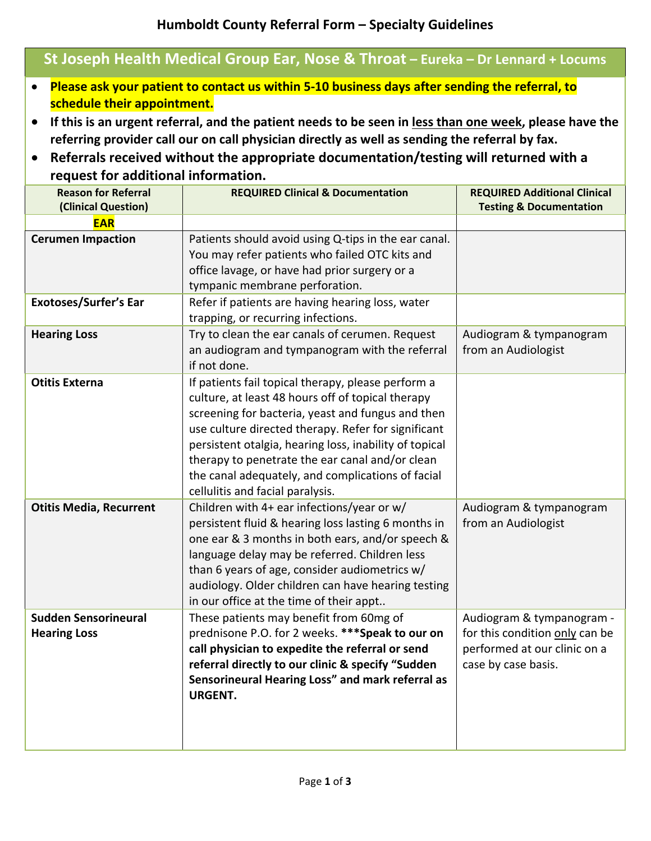## **St Joseph Health Medical Group Ear, Nose & Throat – Eureka – Dr Lennard + Locums**

- **Please ask your patient to contact us within 5‐10 business days after sending the referral, to schedule their appointment.**
- If this is an urgent referral, and the patient needs to be seen in less than one week, please have the **referring provider call our on call physician directly as well as sending the referral by fax.**
- **Referrals received without the appropriate documentation/testing will returned with a request for additional information.**

| <b>Reason for Referral</b><br>(Clinical Question)  | <b>REQUIRED Clinical &amp; Documentation</b>                                                                                                                                                                                                                                                                                                                                                                              | <b>REQUIRED Additional Clinical</b><br><b>Testing &amp; Documentation</b>                                          |
|----------------------------------------------------|---------------------------------------------------------------------------------------------------------------------------------------------------------------------------------------------------------------------------------------------------------------------------------------------------------------------------------------------------------------------------------------------------------------------------|--------------------------------------------------------------------------------------------------------------------|
| <b>EAR</b>                                         |                                                                                                                                                                                                                                                                                                                                                                                                                           |                                                                                                                    |
| <b>Cerumen Impaction</b>                           | Patients should avoid using Q-tips in the ear canal.<br>You may refer patients who failed OTC kits and<br>office lavage, or have had prior surgery or a<br>tympanic membrane perforation.                                                                                                                                                                                                                                 |                                                                                                                    |
| <b>Exotoses/Surfer's Ear</b>                       | Refer if patients are having hearing loss, water<br>trapping, or recurring infections.                                                                                                                                                                                                                                                                                                                                    |                                                                                                                    |
| <b>Hearing Loss</b>                                | Try to clean the ear canals of cerumen. Request<br>an audiogram and tympanogram with the referral<br>if not done.                                                                                                                                                                                                                                                                                                         | Audiogram & tympanogram<br>from an Audiologist                                                                     |
| <b>Otitis Externa</b>                              | If patients fail topical therapy, please perform a<br>culture, at least 48 hours off of topical therapy<br>screening for bacteria, yeast and fungus and then<br>use culture directed therapy. Refer for significant<br>persistent otalgia, hearing loss, inability of topical<br>therapy to penetrate the ear canal and/or clean<br>the canal adequately, and complications of facial<br>cellulitis and facial paralysis. |                                                                                                                    |
| <b>Otitis Media, Recurrent</b>                     | Children with 4+ ear infections/year or w/<br>persistent fluid & hearing loss lasting 6 months in<br>one ear & 3 months in both ears, and/or speech &<br>language delay may be referred. Children less<br>than 6 years of age, consider audiometrics w/<br>audiology. Older children can have hearing testing<br>in our office at the time of their appt                                                                  | Audiogram & tympanogram<br>from an Audiologist                                                                     |
| <b>Sudden Sensorineural</b><br><b>Hearing Loss</b> | These patients may benefit from 60mg of<br>prednisone P.O. for 2 weeks. *** Speak to our on<br>call physician to expedite the referral or send<br>referral directly to our clinic & specify "Sudden<br>Sensorineural Hearing Loss" and mark referral as<br><b>URGENT.</b>                                                                                                                                                 | Audiogram & tympanogram -<br>for this condition only can be<br>performed at our clinic on a<br>case by case basis. |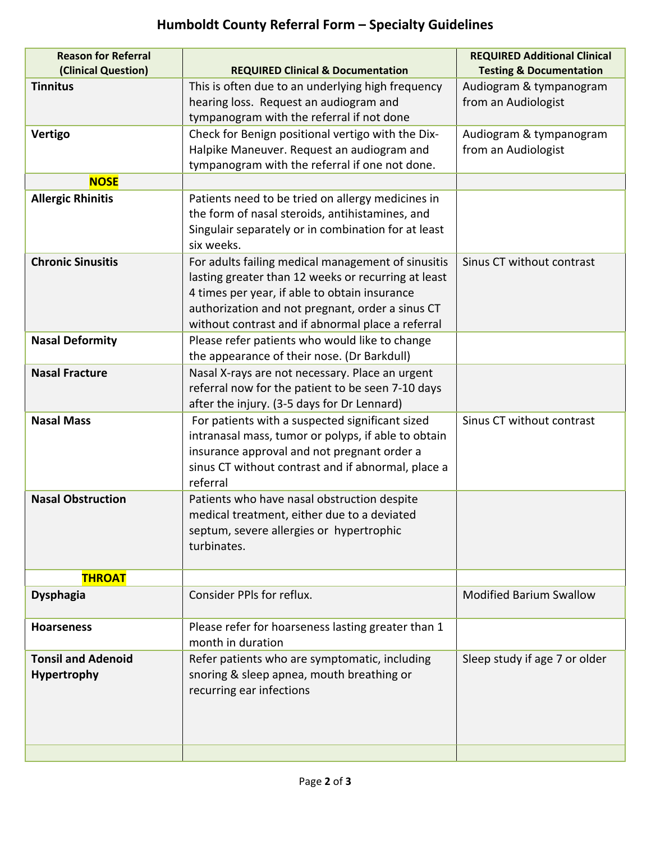## **Humboldt County Referral Form – Specialty Guidelines**

| <b>Reason for Referral</b><br>(Clinical Question) | <b>REQUIRED Clinical &amp; Documentation</b>                                                          | <b>REQUIRED Additional Clinical</b><br><b>Testing &amp; Documentation</b> |
|---------------------------------------------------|-------------------------------------------------------------------------------------------------------|---------------------------------------------------------------------------|
| <b>Tinnitus</b>                                   | This is often due to an underlying high frequency                                                     | Audiogram & tympanogram                                                   |
|                                                   | hearing loss. Request an audiogram and                                                                | from an Audiologist                                                       |
|                                                   | tympanogram with the referral if not done                                                             |                                                                           |
| <b>Vertigo</b>                                    | Check for Benign positional vertigo with the Dix-                                                     | Audiogram & tympanogram                                                   |
|                                                   | Halpike Maneuver. Request an audiogram and                                                            | from an Audiologist                                                       |
|                                                   | tympanogram with the referral if one not done.                                                        |                                                                           |
| <b>NOSE</b>                                       |                                                                                                       |                                                                           |
| <b>Allergic Rhinitis</b>                          | Patients need to be tried on allergy medicines in                                                     |                                                                           |
|                                                   | the form of nasal steroids, antihistamines, and                                                       |                                                                           |
|                                                   | Singulair separately or in combination for at least                                                   |                                                                           |
|                                                   | six weeks.                                                                                            |                                                                           |
| <b>Chronic Sinusitis</b>                          | For adults failing medical management of sinusitis                                                    | Sinus CT without contrast                                                 |
|                                                   | lasting greater than 12 weeks or recurring at least                                                   |                                                                           |
|                                                   | 4 times per year, if able to obtain insurance                                                         |                                                                           |
|                                                   | authorization and not pregnant, order a sinus CT<br>without contrast and if abnormal place a referral |                                                                           |
| <b>Nasal Deformity</b>                            | Please refer patients who would like to change                                                        |                                                                           |
|                                                   | the appearance of their nose. (Dr Barkdull)                                                           |                                                                           |
| <b>Nasal Fracture</b>                             | Nasal X-rays are not necessary. Place an urgent                                                       |                                                                           |
|                                                   | referral now for the patient to be seen 7-10 days                                                     |                                                                           |
|                                                   | after the injury. (3-5 days for Dr Lennard)                                                           |                                                                           |
| <b>Nasal Mass</b>                                 | For patients with a suspected significant sized                                                       | Sinus CT without contrast                                                 |
|                                                   | intranasal mass, tumor or polyps, if able to obtain                                                   |                                                                           |
|                                                   | insurance approval and not pregnant order a                                                           |                                                                           |
|                                                   | sinus CT without contrast and if abnormal, place a                                                    |                                                                           |
|                                                   | referral                                                                                              |                                                                           |
| <b>Nasal Obstruction</b>                          | Patients who have nasal obstruction despite                                                           |                                                                           |
|                                                   | medical treatment, either due to a deviated                                                           |                                                                           |
|                                                   | septum, severe allergies or hypertrophic                                                              |                                                                           |
|                                                   | turbinates.                                                                                           |                                                                           |
| <b>THROAT</b>                                     |                                                                                                       |                                                                           |
| <b>Dysphagia</b>                                  | Consider PPIs for reflux.                                                                             | <b>Modified Barium Swallow</b>                                            |
|                                                   |                                                                                                       |                                                                           |
| <b>Hoarseness</b>                                 | Please refer for hoarseness lasting greater than 1                                                    |                                                                           |
|                                                   | month in duration                                                                                     |                                                                           |
| <b>Tonsil and Adenoid</b>                         | Refer patients who are symptomatic, including                                                         | Sleep study if age 7 or older                                             |
| Hypertrophy                                       | snoring & sleep apnea, mouth breathing or                                                             |                                                                           |
|                                                   | recurring ear infections                                                                              |                                                                           |
|                                                   |                                                                                                       |                                                                           |
|                                                   |                                                                                                       |                                                                           |
|                                                   |                                                                                                       |                                                                           |
|                                                   |                                                                                                       |                                                                           |